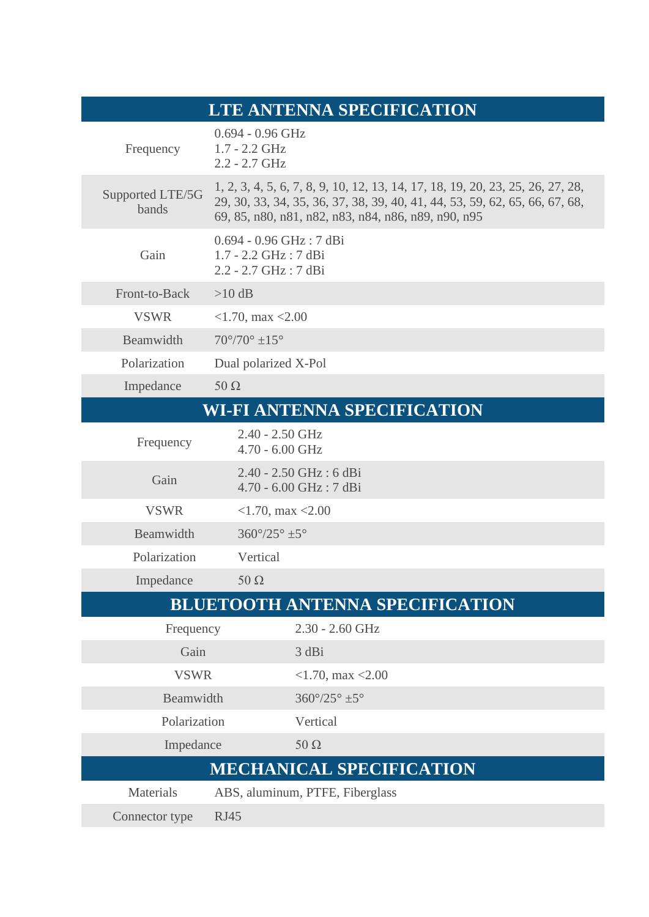| LTE ANTENNA SPECIFICATION              |                                                                                                                                                                                                                      |
|----------------------------------------|----------------------------------------------------------------------------------------------------------------------------------------------------------------------------------------------------------------------|
| Frequency                              | $0.694 - 0.96$ GHz<br>$1.7 - 2.2$ GHz<br>$2.2 - 2.7$ GHz                                                                                                                                                             |
| Supported LTE/5G<br>bands              | 1, 2, 3, 4, 5, 6, 7, 8, 9, 10, 12, 13, 14, 17, 18, 19, 20, 23, 25, 26, 27, 28,<br>29, 30, 33, 34, 35, 36, 37, 38, 39, 40, 41, 44, 53, 59, 62, 65, 66, 67, 68,<br>69, 85, n80, n81, n82, n83, n84, n86, n89, n90, n95 |
| Gain                                   | 0.694 - 0.96 GHz: 7 dBi<br>$1.7 - 2.2$ GHz : 7 dBi<br>2.2 - 2.7 GHz: 7 dBi                                                                                                                                           |
| Front-to-Back                          | $>10$ dB                                                                                                                                                                                                             |
| <b>VSWR</b>                            | $<$ 1.70, max $<$ 2.00                                                                                                                                                                                               |
| Beamwidth                              | $70^{\circ}/70^{\circ} \pm 15^{\circ}$                                                                                                                                                                               |
| Polarization                           | Dual polarized X-Pol                                                                                                                                                                                                 |
| Impedance                              | $50 \Omega$                                                                                                                                                                                                          |
| <b>WI-FI ANTENNA SPECIFICATION</b>     |                                                                                                                                                                                                                      |
| Frequency                              | $2.40 - 2.50$ GHz<br>4.70 - 6.00 GHz                                                                                                                                                                                 |
| Gain                                   | 2.40 - 2.50 GHz : 6 dBi<br>4.70 - 6.00 GHz: 7 dBi                                                                                                                                                                    |
| <b>VSWR</b>                            | $<$ 1.70, max $<$ 2.00                                                                                                                                                                                               |
| Beamwidth                              | $360^{\circ}/25^{\circ}$ ±5°                                                                                                                                                                                         |
| Polarization                           | Vertical                                                                                                                                                                                                             |
| Impedance                              | $50 \Omega$                                                                                                                                                                                                          |
| <b>BLUETOOTH ANTENNA SPECIFICATION</b> |                                                                                                                                                                                                                      |
| Frequency                              | $2.30 - 2.60$ GHz                                                                                                                                                                                                    |
| Gain                                   | 3 dBi                                                                                                                                                                                                                |
| <b>VSWR</b>                            | $<$ 1.70, max $<$ 2.00                                                                                                                                                                                               |
| Beamwidth                              | $360^{\circ}/25^{\circ}$ ±5°                                                                                                                                                                                         |
| Polarization                           | Vertical                                                                                                                                                                                                             |
| Impedance                              | $50 \Omega$                                                                                                                                                                                                          |
| <b>MECHANICAL SPECIFICATION</b>        |                                                                                                                                                                                                                      |
| <b>Materials</b>                       | ABS, aluminum, PTFE, Fiberglass                                                                                                                                                                                      |
| Connector type                         | <b>RJ45</b>                                                                                                                                                                                                          |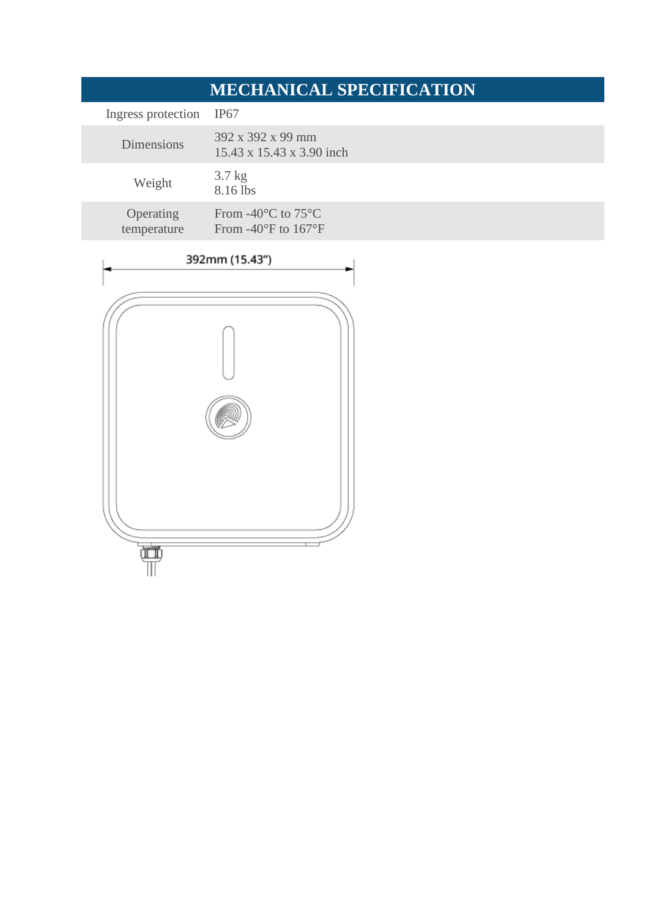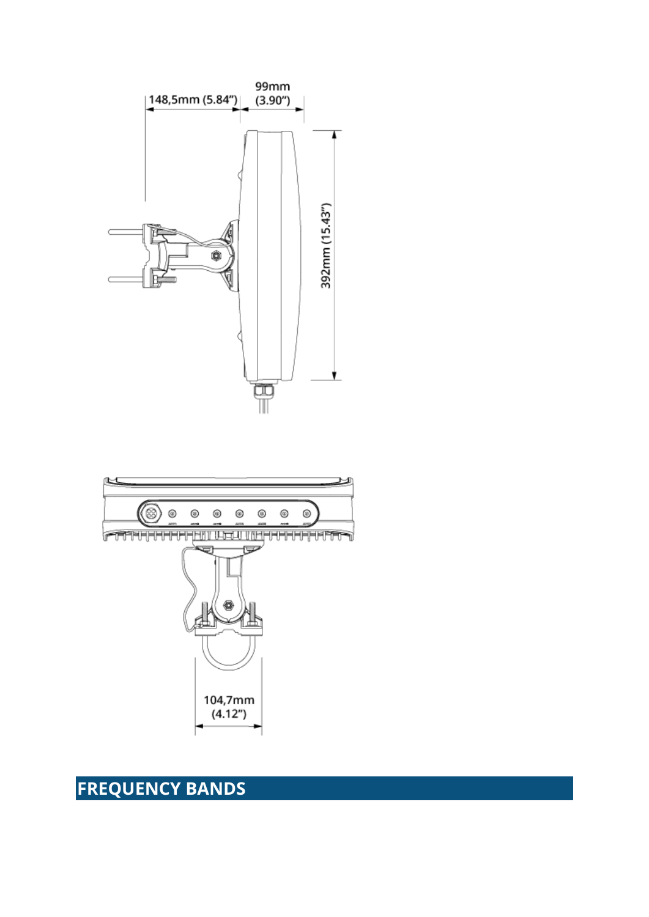# **FREQUENCY BANDS**



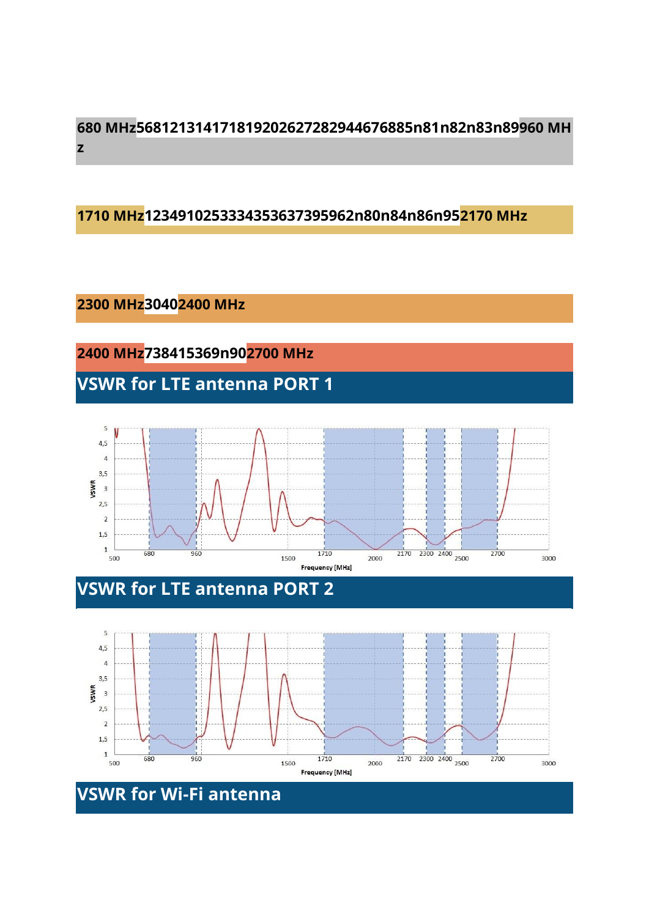### **680 MHz568121314171819202627282944676885n81n82n83n89960 MH z**

#### **1710 MHz1234910253334353637395962n80n84n86n952170 MHz**

#### **2300 MHz30402400 MHz**

**2400 MHz738415369n902700 MHz**

**VSWR for LTE antenna PORT 1**



## **VSWR for LTE antenna PORT 2**

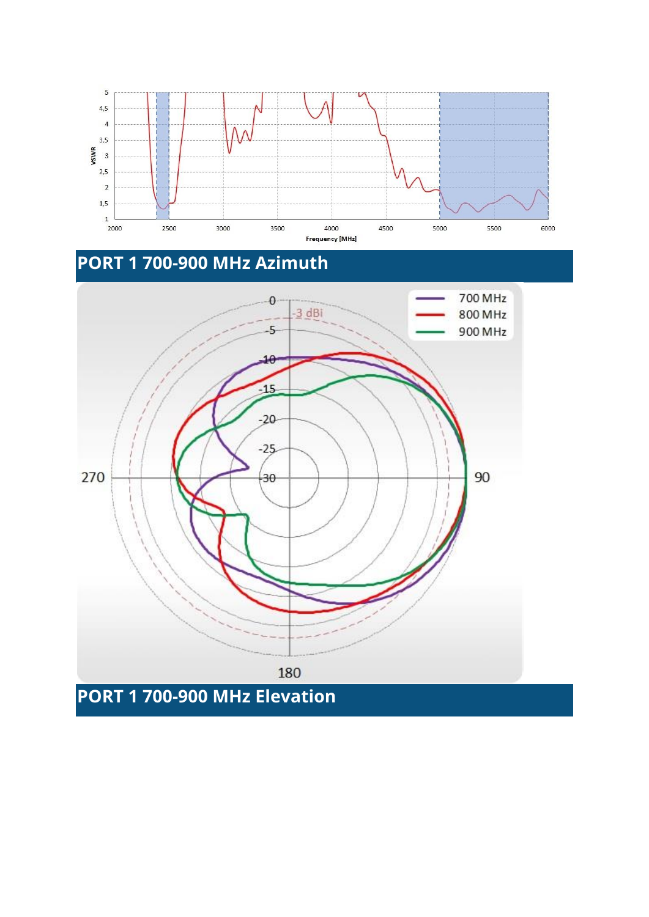



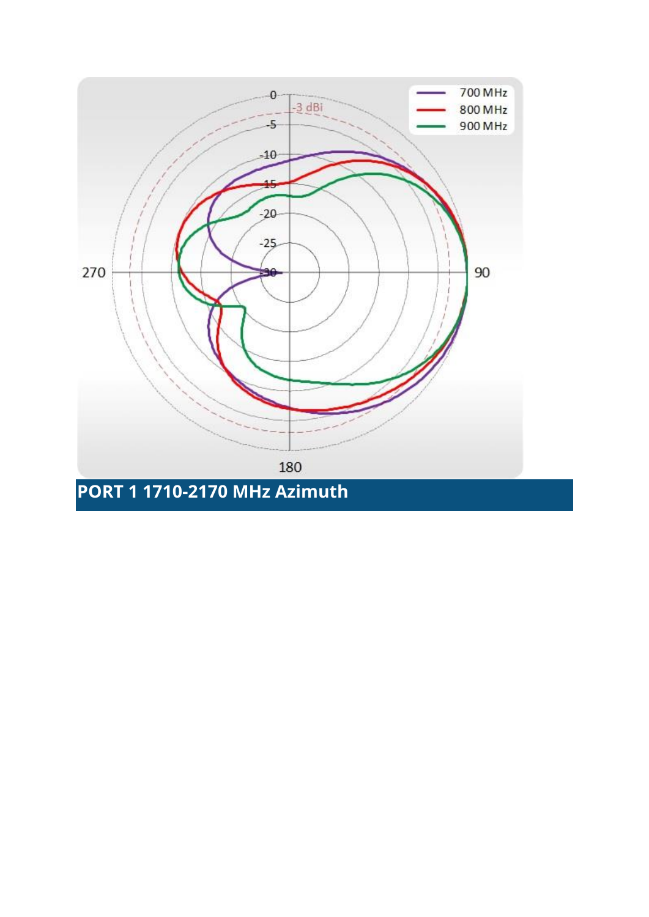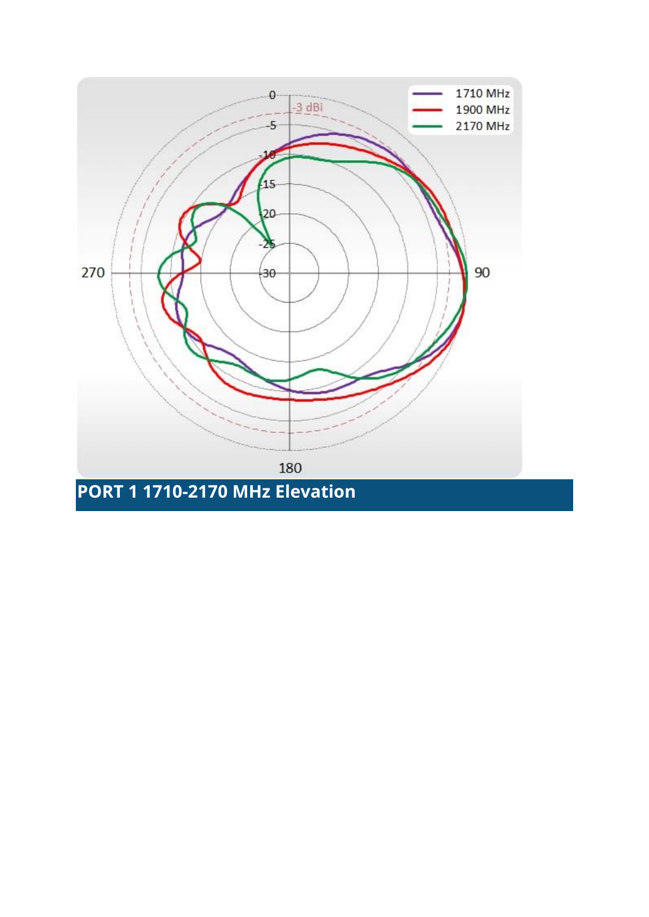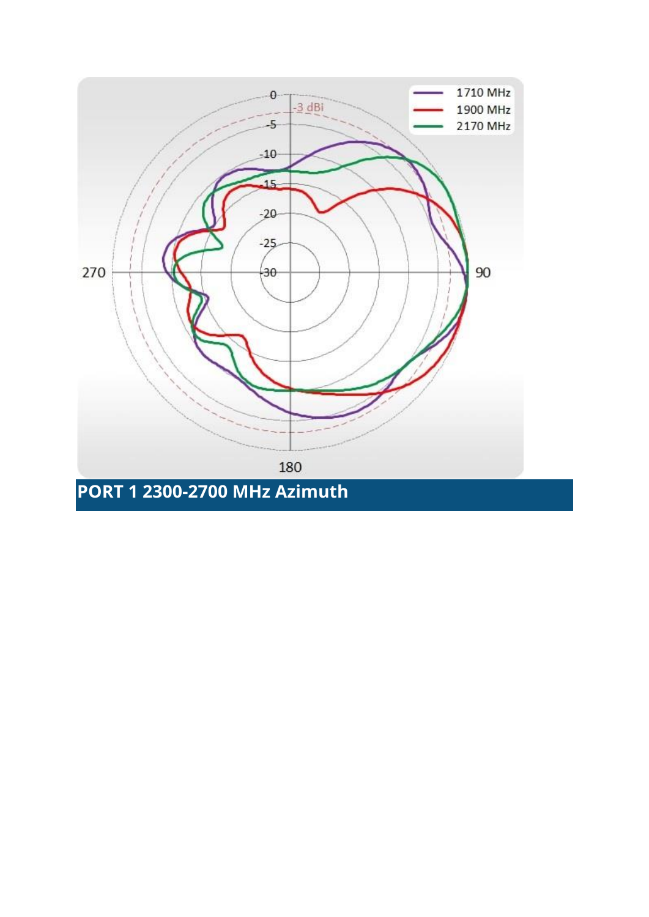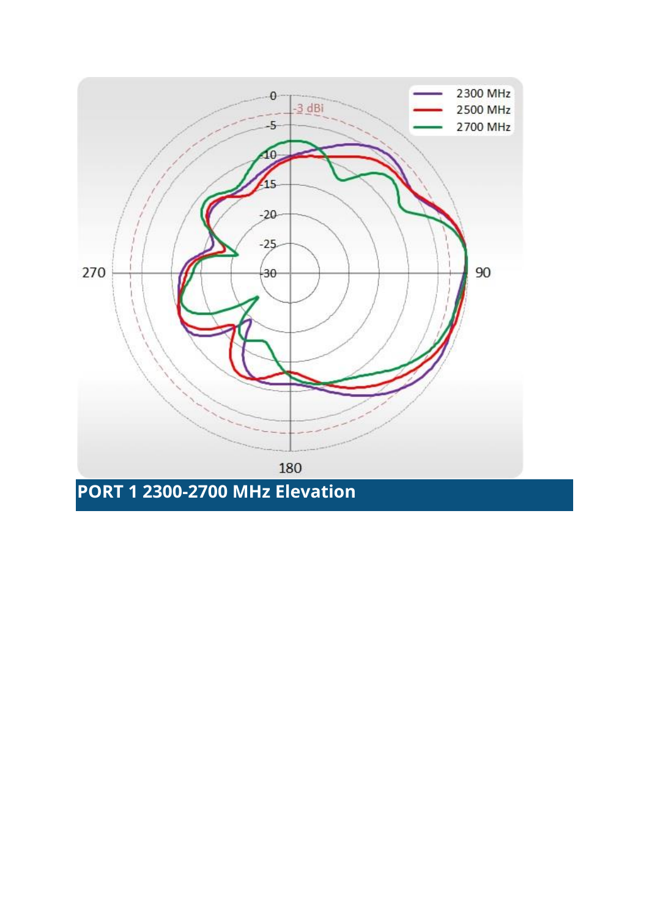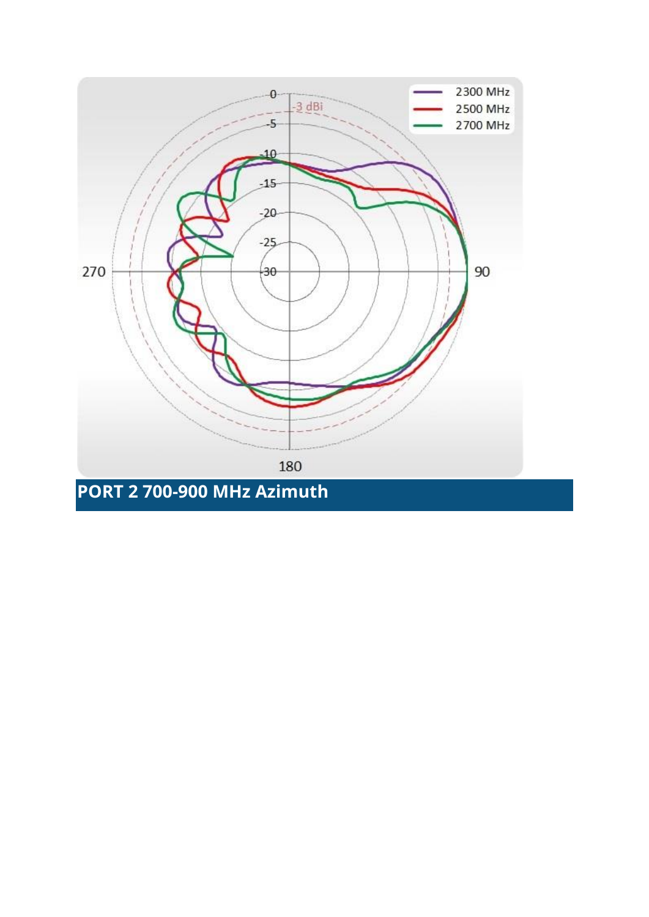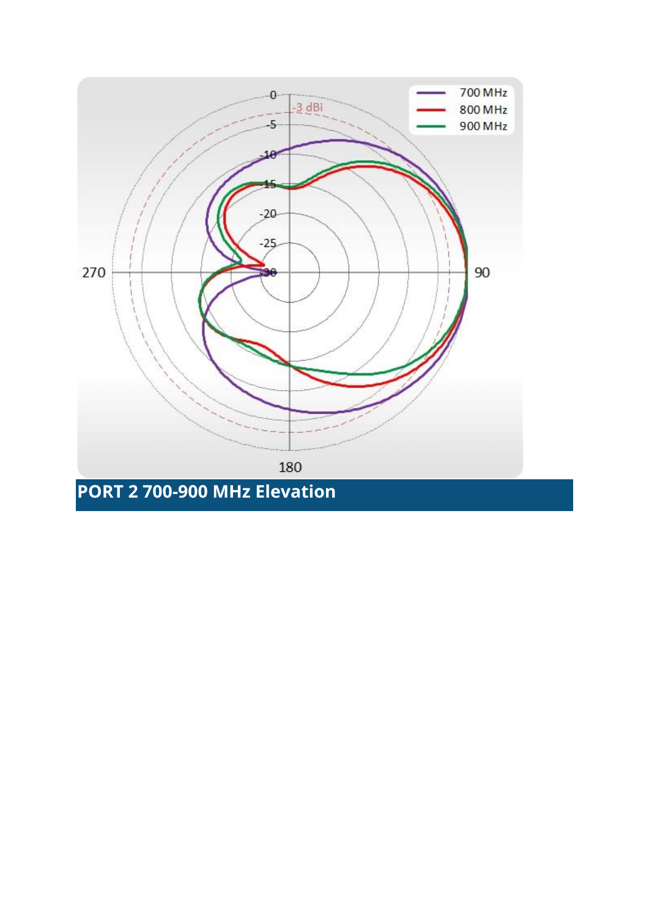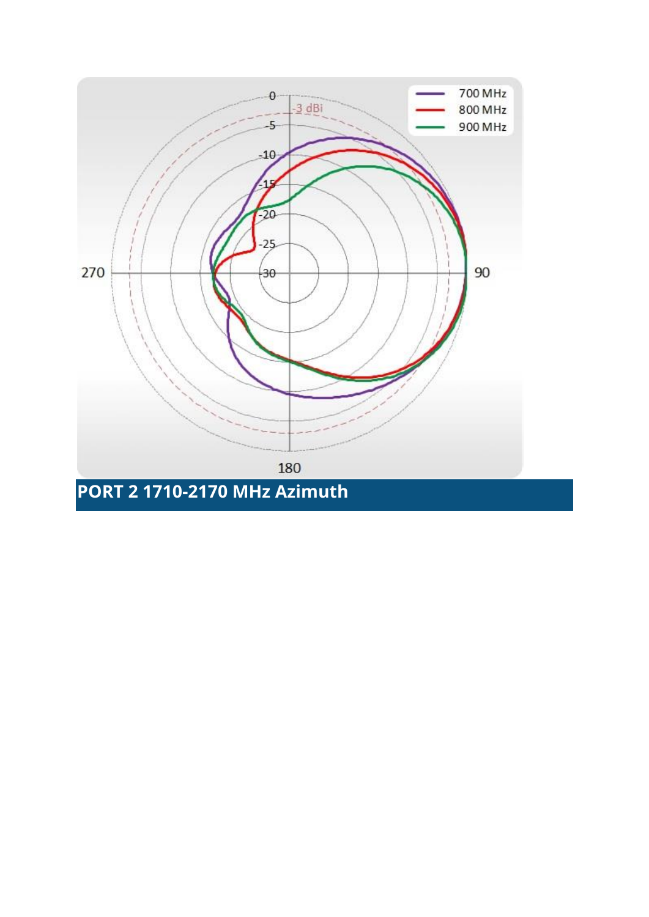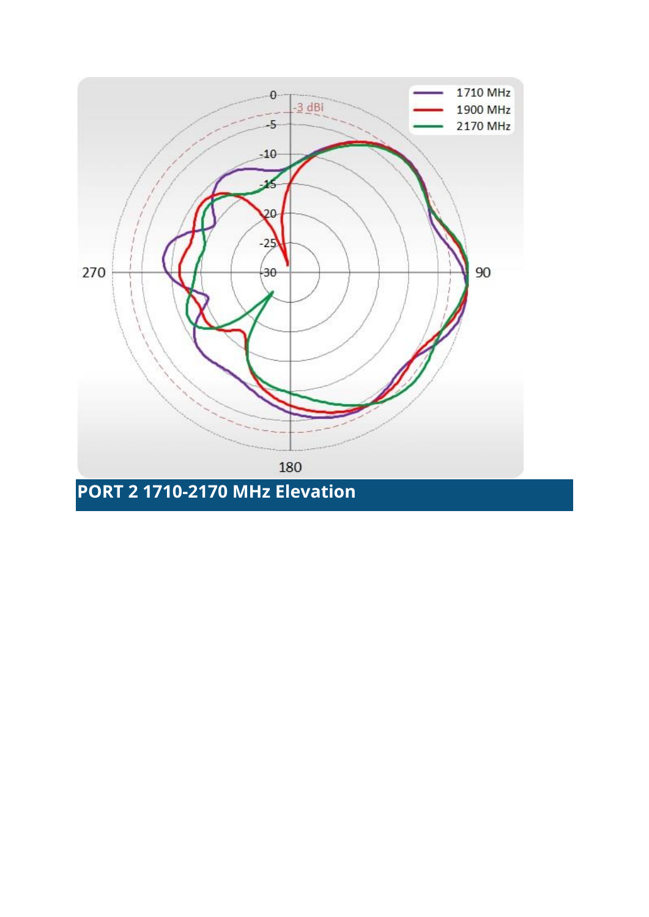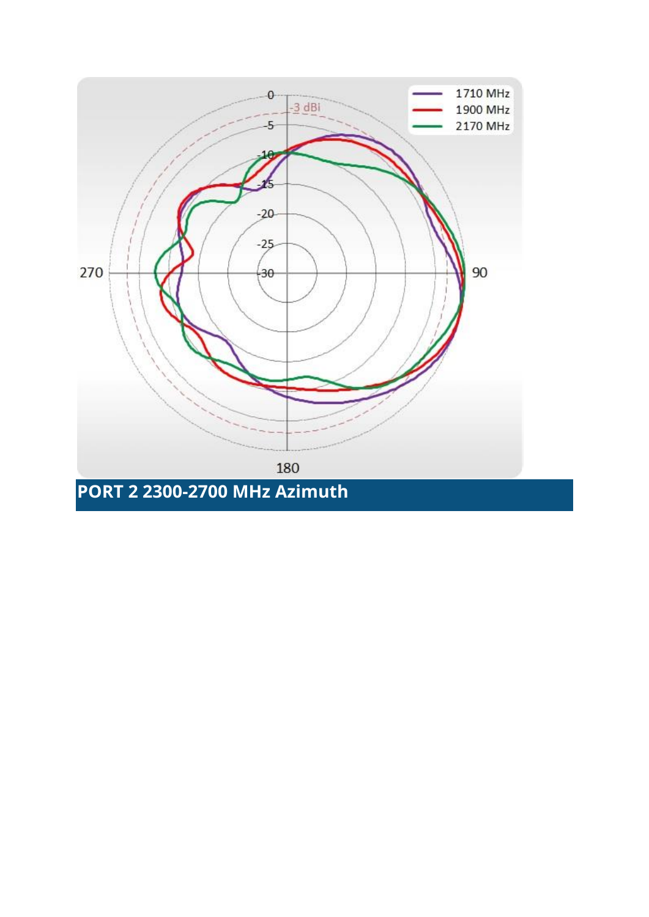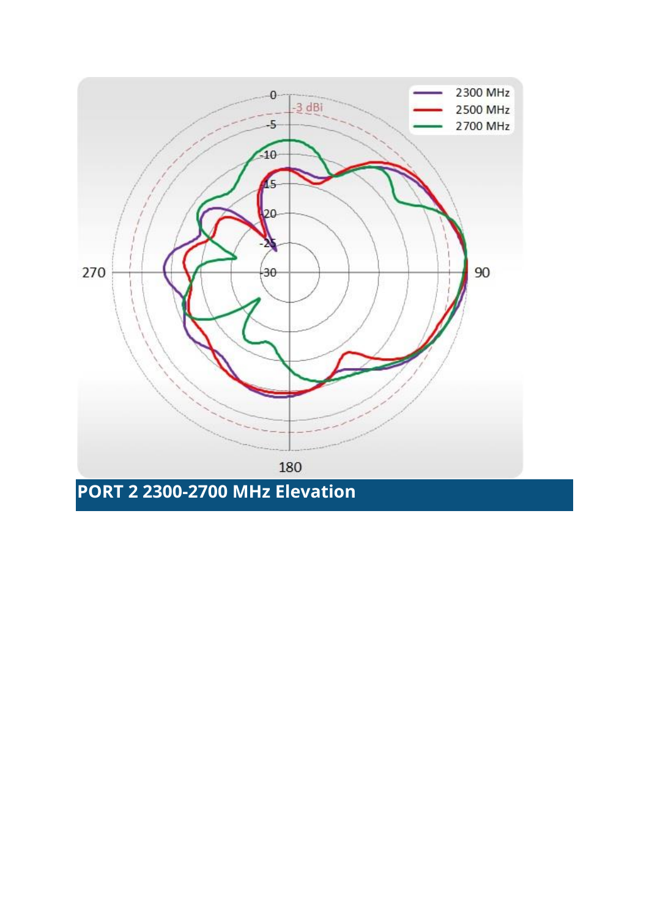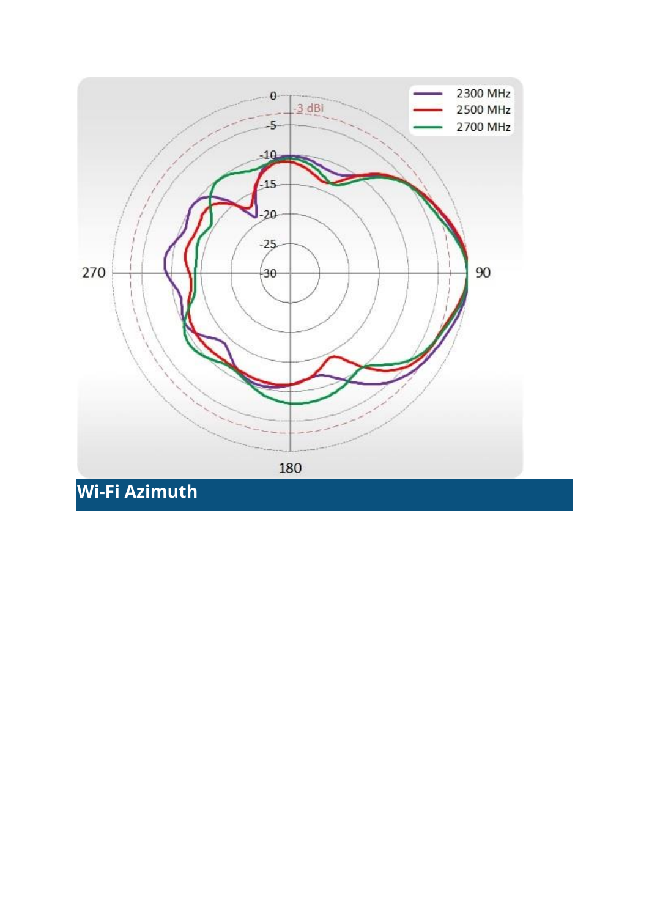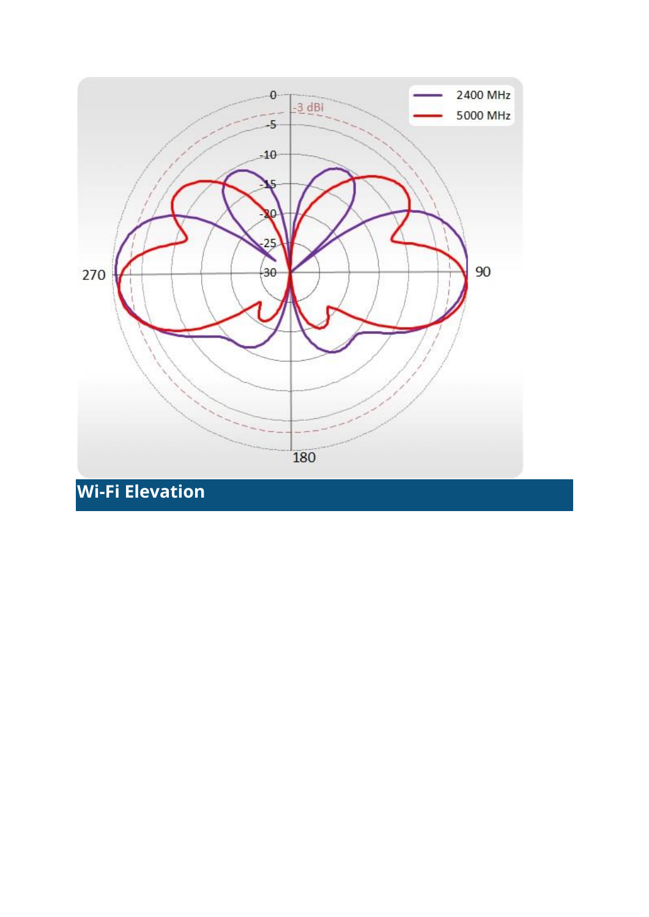